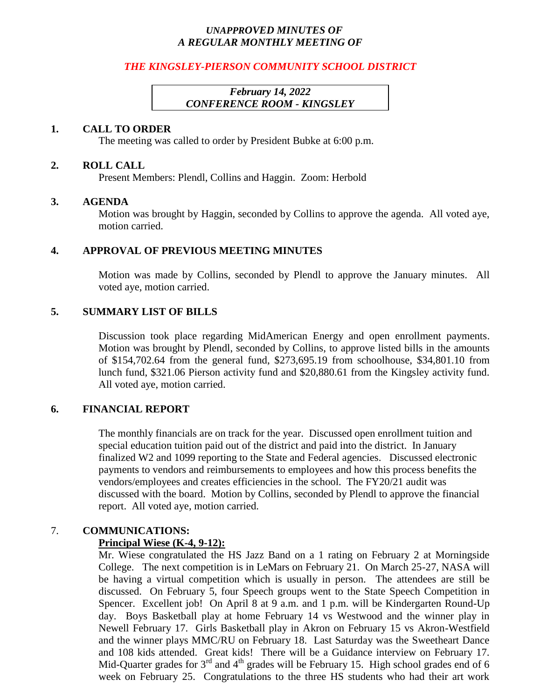### *UNAPPROVED MINUTES OF A REGULAR MONTHLY MEETING OF*

### *THE KINGSLEY-PIERSON COMMUNITY SCHOOL DISTRICT*

## *February 14, 2022 CONFERENCE ROOM - KINGSLEY*

#### **1. CALL TO ORDER**

The meeting was called to order by President Bubke at 6:00 p.m.

#### **2. ROLL CALL**

Present Members: Plendl, Collins and Haggin. Zoom: Herbold

#### **3. AGENDA**

Motion was brought by Haggin, seconded by Collins to approve the agenda. All voted aye, motion carried.

### **4. APPROVAL OF PREVIOUS MEETING MINUTES**

Motion was made by Collins, seconded by Plendl to approve the January minutes. All voted aye, motion carried.

### **5. SUMMARY LIST OF BILLS**

Discussion took place regarding MidAmerican Energy and open enrollment payments. Motion was brought by Plendl, seconded by Collins, to approve listed bills in the amounts of \$154,702.64 from the general fund, \$273,695.19 from schoolhouse, \$34,801.10 from lunch fund, \$321.06 Pierson activity fund and \$20,880.61 from the Kingsley activity fund. All voted aye, motion carried.

### **6. FINANCIAL REPORT**

The monthly financials are on track for the year. Discussed open enrollment tuition and special education tuition paid out of the district and paid into the district. In January finalized W2 and 1099 reporting to the State and Federal agencies. Discussed electronic payments to vendors and reimbursements to employees and how this process benefits the vendors/employees and creates efficiencies in the school. The FY20/21 audit was discussed with the board. Motion by Collins, seconded by Plendl to approve the financial report. All voted aye, motion carried.

# 7. **COMMUNICATIONS:**

### **Principal Wiese (K-4, 9-12):**

Mr. Wiese congratulated the HS Jazz Band on a 1 rating on February 2 at Morningside College. The next competition is in LeMars on February 21. On March 25-27, NASA will be having a virtual competition which is usually in person. The attendees are still be discussed. On February 5, four Speech groups went to the State Speech Competition in Spencer. Excellent job! On April 8 at 9 a.m. and 1 p.m. will be Kindergarten Round-Up day. Boys Basketball play at home February 14 vs Westwood and the winner play in Newell February 17. Girls Basketball play in Akron on February 15 vs Akron-Westfield and the winner plays MMC/RU on February 18. Last Saturday was the Sweetheart Dance and 108 kids attended. Great kids! There will be a Guidance interview on February 17. Mid-Quarter grades for  $3<sup>rd</sup>$  and  $4<sup>th</sup>$  grades will be February 15. High school grades end of 6 week on February 25. Congratulations to the three HS students who had their art work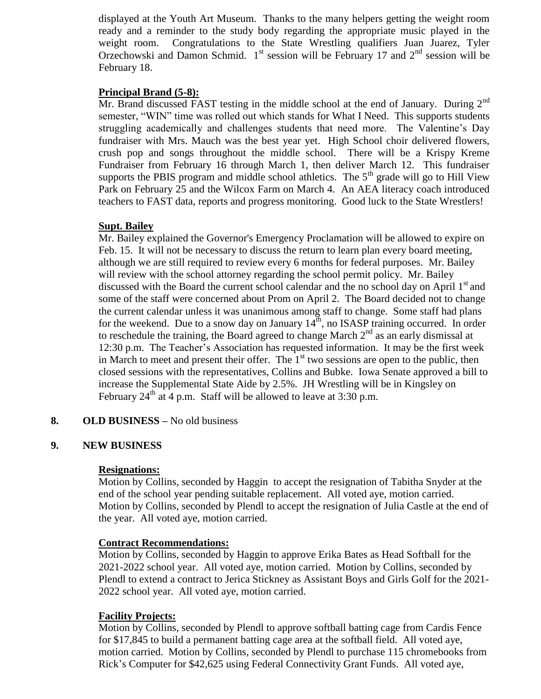displayed at the Youth Art Museum. Thanks to the many helpers getting the weight room ready and a reminder to the study body regarding the appropriate music played in the weight room. Congratulations to the State Wrestling qualifiers Juan Juarez, Tyler Orzechowski and Damon Schmid.  $1<sup>st</sup>$  session will be February 17 and  $2<sup>nd</sup>$  session will be February 18.

## **Principal Brand (5-8):**

Mr. Brand discussed FAST testing in the middle school at the end of January. During  $2^{nd}$ semester, "WIN" time was rolled out which stands for What I Need. This supports students struggling academically and challenges students that need more. The Valentine's Day fundraiser with Mrs. Mauch was the best year yet. High School choir delivered flowers, crush pop and songs throughout the middle school. There will be a Krispy Kreme Fundraiser from February 16 through March 1, then deliver March 12. This fundraiser supports the PBIS program and middle school athletics. The  $5<sup>th</sup>$  grade will go to Hill View Park on February 25 and the Wilcox Farm on March 4. An AEA literacy coach introduced teachers to FAST data, reports and progress monitoring. Good luck to the State Wrestlers!

## **Supt. Bailey**

Mr. Bailey explained the Governor's Emergency Proclamation will be allowed to expire on Feb. 15. It will not be necessary to discuss the return to learn plan every board meeting, although we are still required to review every 6 months for federal purposes. Mr. Bailey will review with the school attorney regarding the school permit policy. Mr. Bailey discussed with the Board the current school calendar and the no school day on April 1<sup>st</sup> and some of the staff were concerned about Prom on April 2. The Board decided not to change the current calendar unless it was unanimous among staff to change. Some staff had plans for the weekend. Due to a snow day on January 14<sup>th</sup>, no ISASP training occurred. In order to reschedule the training, the Board agreed to change March  $2<sup>nd</sup>$  as an early dismissal at 12:30 p.m. The Teacher's Association has requested information. It may be the first week in March to meet and present their offer. The  $1<sup>st</sup>$  two sessions are open to the public, then closed sessions with the representatives, Collins and Bubke. Iowa Senate approved a bill to increase the Supplemental State Aide by 2.5%. JH Wrestling will be in Kingsley on February  $24<sup>th</sup>$  at 4 p.m. Staff will be allowed to leave at 3:30 p.m.

# **8. OLD BUSINESS –** No old business

### **9. NEW BUSINESS**

### **Resignations:**

Motion by Collins, seconded by Haggin to accept the resignation of Tabitha Snyder at the end of the school year pending suitable replacement. All voted aye, motion carried. Motion by Collins, seconded by Plendl to accept the resignation of Julia Castle at the end of the year. All voted aye, motion carried.

### **Contract Recommendations:**

Motion by Collins, seconded by Haggin to approve Erika Bates as Head Softball for the 2021-2022 school year. All voted aye, motion carried. Motion by Collins, seconded by Plendl to extend a contract to Jerica Stickney as Assistant Boys and Girls Golf for the 2021- 2022 school year. All voted aye, motion carried.

# **Facility Projects:**

Motion by Collins, seconded by Plendl to approve softball batting cage from Cardis Fence for \$17,845 to build a permanent batting cage area at the softball field. All voted aye, motion carried. Motion by Collins, seconded by Plendl to purchase 115 chromebooks from Rick's Computer for \$42,625 using Federal Connectivity Grant Funds. All voted aye,